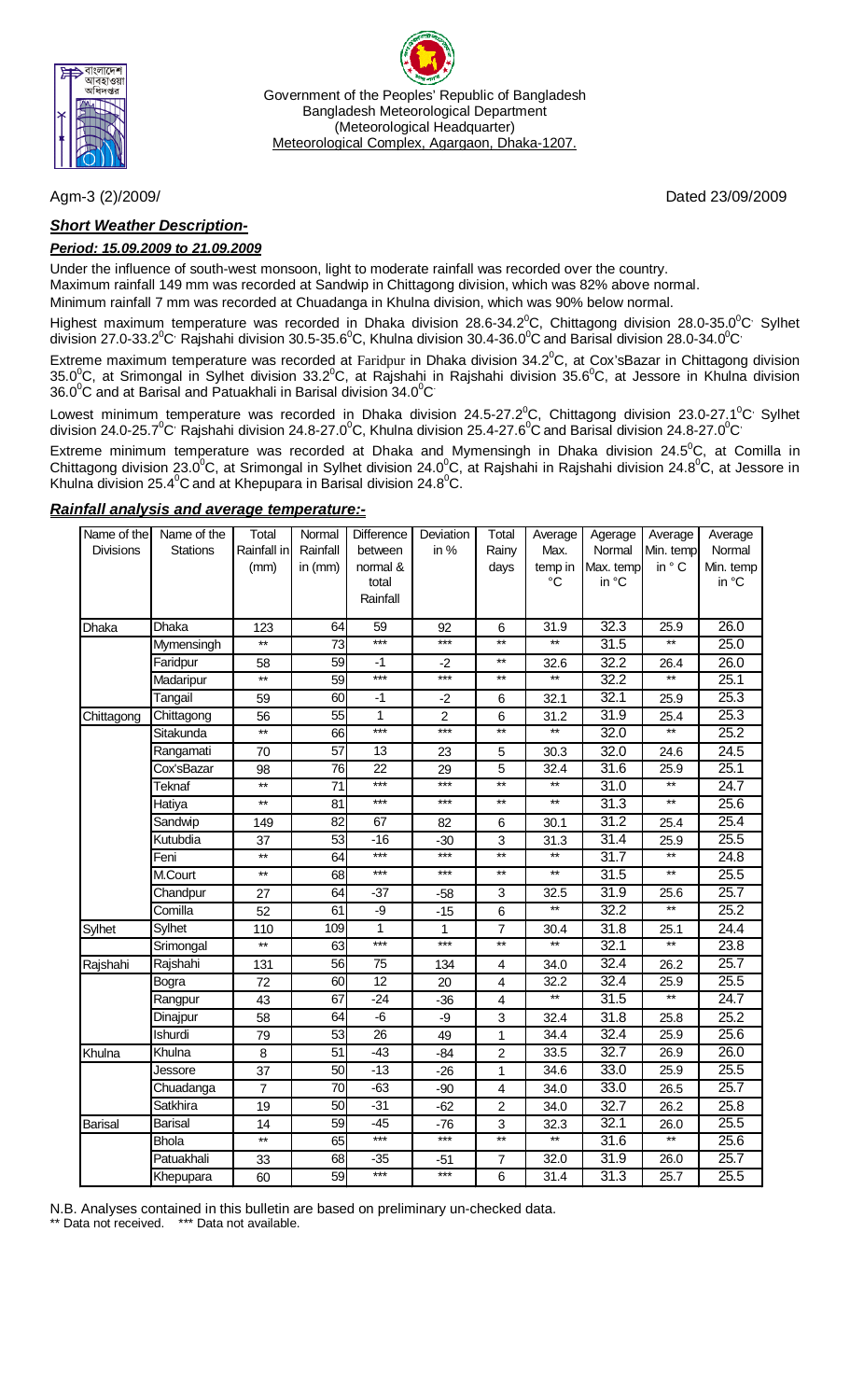

Government of the Peoples' Republic of Bangladesh Bangladesh Meteorological Department (Meteorological Headquarter) Meteorological Complex, Agargaon, Dhaka-1207.

### *Short Weather Description-*

#### *Period: 15.09.2009 to 21.09.2009*

Under the influence of south-west monsoon, light to moderate rainfall was recorded over the country. Maximum rainfall 149 mm was recorded at Sandwip in Chittagong division, which was 82% above normal.

Minimum rainfall 7 mm was recorded at Chuadanga in Khulna division, which was 90% below normal.

Highest maximum temperature was recorded in Dhaka division 28.6-34.2 $^0$ C, Chittagong division 28.0-35.0 $^0$ C Sylhet division 27.0-33.2 $^0$ C<sup>,</sup> Rajshahi division 30.5-35.6 $^0$ C, Khulna division 30.4-36.0 $^0$ C and Barisal division 28.0-34.0 $^0$ C $^{\circ}$ 

Extreme maximum temperature was recorded at Faridpur in Dhaka division 34.2 $^0$ C, at Cox'sBazar in Chittagong division 35.0<sup>0</sup>C, at Srimongal in Sylhet division 33.2<sup>0</sup>C, at Rajshahi in Rajshahi division 35.6<sup>0</sup>C, at Jessore in Khulna division 36.0 $\mathrm{^0C}$  and at Barisal and Patuakhali in Barisal division 34.0 $\mathrm{^0C}$ 

Lowest minimum temperature was recorded in Dhaka division 24.5-27.2 $^0$ C, Chittagong division 23.0-27.1 $^0$ C $^{\prime}$  Sylhet division 24.0-25.7 $^{\rm o}$ C $^{\rm o}$  Rajshahi division 24.8-27.0 $^{\rm o}$ C, Khulna division 25.4-27.6 $^{\rm o}$ C and Barisal division 24.8-27.0 $^{\rm o}$ C $^{\rm o}$ 

Extreme minimum temperature was recorded at Dhaka and Mymensingh in Dhaka division 24.5<sup>o</sup>C, at Comilla in Chittagong division 23.0<sup>0</sup>C, at Srimongal in Sylhet division 24.0<sup>0</sup>C, at Rajshahi in Rajshahi division 24.8<sup>0</sup>C, at Jessore in Khulna division 25.4 $\mathrm{^{0}C}$  and at Khepupara in Barisal division 24.8 $\mathrm{^{0}C}$ .

| Name of the    | Name of the     | Total             | Normal          | Difference      | Deviation      | Total                   | Average         | Agerage           | Average         | Average   |
|----------------|-----------------|-------------------|-----------------|-----------------|----------------|-------------------------|-----------------|-------------------|-----------------|-----------|
| Divisions      | <b>Stations</b> | Rainfall in       | Rainfall        | between         | in %           | Rainy                   | Max.            | Normal            | Min. temp       | Normal    |
|                |                 | (mm)              | in $(mm)$       | normal &        |                | days                    | temp in         | Max. temp         | in ° C          | Min. temp |
|                |                 |                   |                 | total           |                |                         | $^{\circ}C$     | in °C             |                 | in °C     |
|                |                 |                   |                 | Rainfall        |                |                         |                 |                   |                 |           |
| Dhaka          | Dhaka           | 123               | 64              | 59              | 92             | 6                       | 31.9            | 32.3              | 25.9            | 26.0      |
|                | Mymensingh      | $^{\star\star}$   | 73              | $***$           | $***$          | $^{\star\star}$         | $\star\star$    | 31.5              | $***$           | 25.0      |
|                | Faridpur        | 58                | 59              | $-1$            | $-2$           | $***$                   | 32.6            | 32.2              | 26.4            | 26.0      |
|                | Madaripur       | $\overline{\ast}$ | 59              | ***             | $***$          | $\star\star$            | $\star\star$    | 32.2              | $\star\star$    | 25.1      |
|                | Tangail         | 59                | 60              | $-1$            | $-2$           | 6                       | 32.1            | 32.1              | 25.9            | 25.3      |
| Chittagong     | Chittagong      | 56                | 55              | $\mathbf{1}$    | $\overline{2}$ | $6\phantom{1}$          | 31.2            | 31.9              | 25.4            | 25.3      |
|                | Sitakunda       | $\star\star$      | 66              | ***             | $***$          | $\star\star$            | $\ast$          | 32.0              | $^{\star\star}$ | 25.2      |
|                | Rangamati       | 70                | $\overline{57}$ | 13              | 23             | 5                       | 30.3            | 32.0              | 24.6            | 24.5      |
|                | Cox'sBazar      | 98                | 76              | $\overline{22}$ | 29             | 5                       | 32.4            | 31.6              | 25.9            | 25.1      |
|                | <b>Teknaf</b>   | $***$             | $\overline{71}$ | $***$           | $***$          | $\overline{**}$         | $**$            | 31.0              | $**$            | 24.7      |
|                | Hatiya          | $\star\star$      | 81              | ***             | $***$          | $^{\star\star}$         | $^{\star\star}$ | 31.3              | $\star\star$    | 25.6      |
|                | Sandwip         | 149               | 82              | 67              | 82             | 6                       | 30.1            | 31.2              | 25.4            | 25.4      |
|                | Kutubdia        | 37                | 53              | $-16$           | $-30$          | 3                       | 31.3            | 31.4              | 25.9            | 25.5      |
|                | Feni            | $**$              | 64              | $***$           | $***$          | $**$                    | $\star\star$    | 31.7              | $**$            | 24.8      |
|                | M.Court         | $**$              | 68              | $***$           | $***$          | $**$                    | $\ast\ast$      | $\overline{31.5}$ | $\star\star$    | 25.5      |
|                | Chandpur        | 27                | 64              | $-37$           | $-58$          | 3                       | 32.5            | 31.9              | 25.6            | 25.7      |
|                | Comilla         | 52                | 61              | -9              | $-15$          | 6                       | $**$            | 32.2              | $**$            | 25.2      |
| Sylhet         | Sylhet          | 110               | 109             | 1               | 1              | $\overline{7}$          | 30.4            | 31.8              | 25.1            | 24.4      |
|                | Srimongal       | $**$              | 63              | $***$           | $***$          | $\star\star$            | $\star\star$    | 32.1              | $\star\star$    | 23.8      |
| Rajshahi       | Rajshahi        | 131               | 56              | 75              | 134            | 4                       | 34.0            | 32.4              | 26.2            | 25.7      |
|                | Bogra           | 72                | 60              | 12              | 20             | $\overline{\mathbf{4}}$ | 32.2            | 32.4              | 25.9            | 25.5      |
|                | Rangpur         | 43                | 67              | $-24$           | $-36$          | $\overline{\mathbf{4}}$ | $\star\star$    | $\overline{31.5}$ | $\star\star$    | 24.7      |
|                | Dinajpur        | 58                | 64              | $-\overline{6}$ | -9             | 3                       | 32.4            | 31.8              | 25.8            | 25.2      |
|                | Ishurdi         | 79                | 53              | $\overline{26}$ | 49             | $\mathbf{1}$            | 34.4            | 32.4              | 25.9            | 25.6      |
| Khulna         | Khulna          | 8                 | 51              | $-43$           | $-84$          | $\overline{c}$          | 33.5            | 32.7              | 26.9            | 26.0      |
|                | Jessore         | 37                | 50              | $-13$           | $-26$          | 1                       | 34.6            | 33.0              | 25.9            | 25.5      |
|                | Chuadanga       | $\overline{7}$    | 70              | $-63$           | $-90$          | $\overline{\mathbf{4}}$ | 34.0            | 33.0              | 26.5            | 25.7      |
|                | Satkhira        | 19                | 50              | $-31$           | $-62$          | $\overline{c}$          | 34.0            | 32.7              | 26.2            | 25.8      |
| <b>Barisal</b> | <b>Barisal</b>  | 14                | 59              | $-45$           | -76            | 3                       | 32.3            | 32.1              | 26.0            | 25.5      |
|                | <b>Bhola</b>    | $\star\star$      | 65              | $***$           | $***$          | $\overline{**}$         | $\ast$          | $\overline{31.6}$ | $\star\star$    | 25.6      |
|                | Patuakhali      | 33                | 68              | $-35$           | $-51$          | $\overline{7}$          | 32.0            | 31.9              | 26.0            | 25.7      |
|                | Khepupara       | 60                | 59              | $***$           | $***$          | $6\phantom{1}$          | 31.4            | 31.3              | 25.7            | 25.5      |

### *Rainfall analysis and average temperature:-*

N.B. Analyses contained in this bulletin are based on preliminary un-checked data.

Data not received. \*\*\* Data not available.

Agm-3 (2)/2009/Dated 23/09/2009